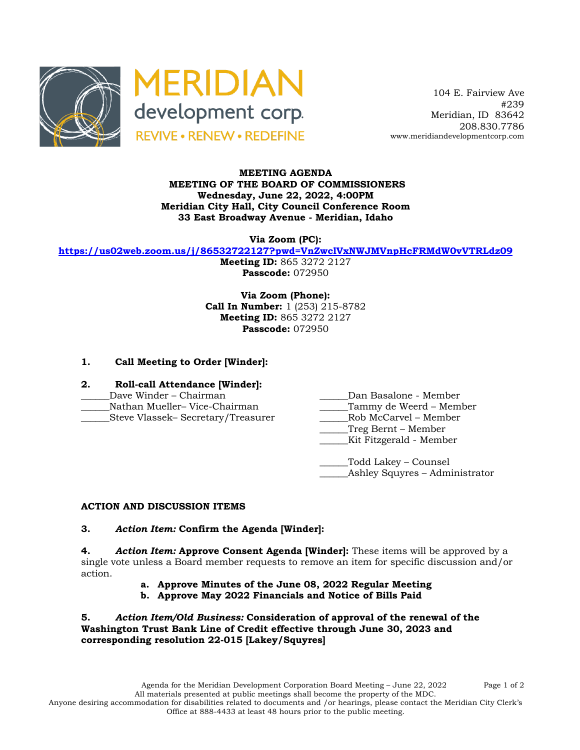



 104 E. Fairview Ave #239 Meridian, ID 83642 208.830.7786 www.meridiandevelopmentcorp.com

#### **MEETING AGENDA MEETING OF THE BOARD OF COMMISSIONERS Wednesday, June 22, 2022, 4:00PM Meridian City Hall, City Council Conference Room 33 East Broadway Avenue - Meridian, Idaho**

**Via Zoom (PC):**

**https://us02web.zoom.us/j/86532722127?pwd=VnZwclVxNWJMVnpHcFRMdW0vVTRLdz09**

**Meeting ID:** 865 3272 2127 **Passcode:** 072950

**Via Zoom (Phone): Call In Number:** 1 (253) 215-8782 **Meeting ID:** 865 3272 2127 **Passcode:** 072950

# **1. Call Meeting to Order [Winder]:**

- **2. Roll-call Attendance [Winder]:**
- 
- 
- 
- \_\_\_\_\_\_Dave Winder Chairman \_\_\_\_\_\_Dan Basalone Member
- Nathan Mueller– Vice-Chairman and Tammy de Weerd Member
- \_\_\_\_\_\_Steve Vlassek– Secretary/Treasurer \_\_\_\_\_\_Rob McCarvel Member
	- \_\_\_\_\_\_Treg Bernt Member
	- Kit Fitzgerald Member
	- \_\_\_\_\_\_Todd Lakey Counsel \_\_\_\_\_\_Ashley Squyres – Administrator

# **ACTION AND DISCUSSION ITEMS**

### **3.** *Action Item:* **Confirm the Agenda [Winder]:**

**4.** *Action Item:* **Approve Consent Agenda [Winder]:** These items will be approved by a single vote unless a Board member requests to remove an item for specific discussion and/or action.

- **a. Approve Minutes of the June 08, 2022 Regular Meeting**
- **b. Approve May 2022 Financials and Notice of Bills Paid**

**5.** *Action Item/Old Business:* **Consideration of approval of the renewal of the Washington Trust Bank Line of Credit effective through June 30, 2023 and corresponding resolution 22-015 [Lakey/Squyres]**